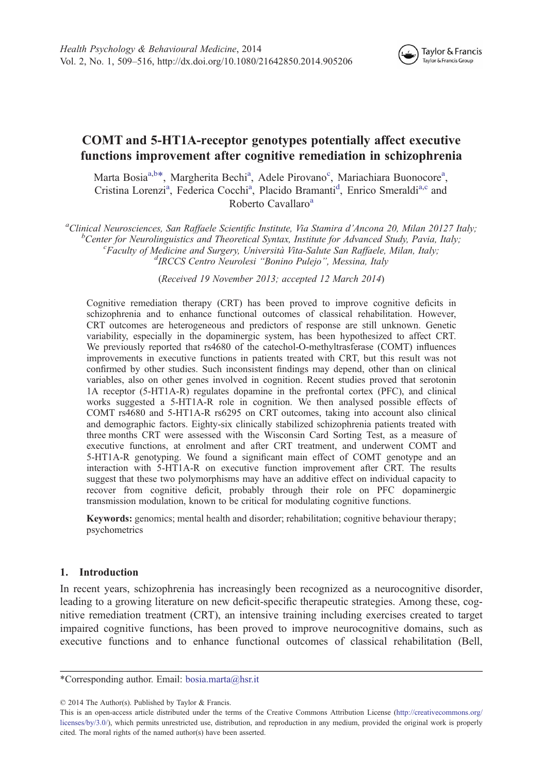

# COMT and 5-HT1A-receptor genotypes potentially affect executive functions improvement after cognitive remediation in schizophrenia

Marta Bosia<sup>a,b\*</sup>, Margherita Bechi<sup>a</sup>, Adele Pirovano<sup>c</sup>, Mariachiara Buonocore<sup>a</sup>, Cristina Lorenzi<sup>a</sup>, Federica Cocchi<sup>a</sup>, Placido Bramanti<sup>d</sup>, Enrico Smeraldi<sup>a,c</sup> and Roberto Cavallaro<sup>a</sup>

<sup>a</sup>Clinical Neurosciences, San Raffaele Scientific Institute, Via Stamira d'Ancona 20, Milan 20127 Italy;<br><sup>b</sup>Cantar for Neurolinquistics and Theoratical Syntax, Institute for Advanced Study Pavia, Italy; <sup>b</sup>Center for Neurolinguistics and Theoretical Syntax, Institute for Advanced Study, Pavia, Italy;  ${}^{c}$ Faculty of Medicine and Surgery, Università Vita-Salute San Raffaele, Milan, Italy; <sup>d</sup>IRCCS Centro Neurolesi "Bonino Pulejo", Messina, Italy

(Received 19 November 2013; accepted 12 March 2014)

Cognitive remediation therapy (CRT) has been proved to improve cognitive deficits in schizophrenia and to enhance functional outcomes of classical rehabilitation. However, CRT outcomes are heterogeneous and predictors of response are still unknown. Genetic variability, especially in the dopaminergic system, has been hypothesized to affect CRT. We previously reported that rs4680 of the catechol-O-methyltrasferase (COMT) influences improvements in executive functions in patients treated with CRT, but this result was not confirmed by other studies. Such inconsistent findings may depend, other than on clinical variables, also on other genes involved in cognition. Recent studies proved that serotonin 1A receptor (5-HT1A-R) regulates dopamine in the prefrontal cortex (PFC), and clinical works suggested a 5-HT1A-R role in cognition. We then analysed possible effects of COMT rs4680 and 5-HT1A-R rs6295 on CRT outcomes, taking into account also clinical and demographic factors. Eighty-six clinically stabilized schizophrenia patients treated with three months CRT were assessed with the Wisconsin Card Sorting Test, as a measure of executive functions, at enrolment and after CRT treatment, and underwent COMT and 5-HT1A-R genotyping. We found a significant main effect of COMT genotype and an interaction with 5-HT1A-R on executive function improvement after CRT. The results suggest that these two polymorphisms may have an additive effect on individual capacity to recover from cognitive deficit, probably through their role on PFC dopaminergic transmission modulation, known to be critical for modulating cognitive functions.

Keywords: genomics; mental health and disorder; rehabilitation; cognitive behaviour therapy; psychometrics

## 1. Introduction

In recent years, schizophrenia has increasingly been recognized as a neurocognitive disorder, leading to a growing literature on new deficit-specific therapeutic strategies. Among these, cognitive remediation treatment (CRT), an intensive training including exercises created to target impaired cognitive functions, has been proved to improve neurocognitive domains, such as executive functions and to enhance functional outcomes of classical rehabilitation (Bell,

<sup>\*</sup>Corresponding author. Email: [bosia.marta@hsr.it](mailto:bosia.marta@hsr.it)

<sup>© 2014</sup> The Author(s). Published by Taylor & Francis.

This is an open-access article distributed under the terms of the Creative Commons Attribution License [\(http://creativecommons.org/](http://creativecommons.org/licenses/by/3.0/) [licenses/by/3.0/](http://creativecommons.org/licenses/by/3.0/)), which permits unrestricted use, distribution, and reproduction in any medium, provided the original work is properly cited. The moral rights of the named author(s) have been asserted.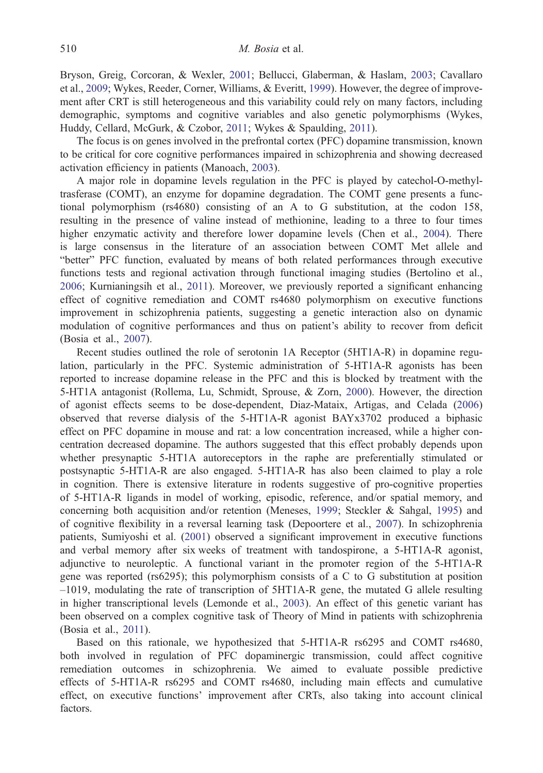Bryson, Greig, Corcoran, & Wexler, [2001](#page-6-0); Bellucci, Glaberman, & Haslam, [2003](#page-6-0); Cavallaro et al., [2009](#page-7-0); Wykes, Reeder, Corner, Williams, & Everitt, [1999\)](#page-7-0). However, the degree of improvement after CRT is still heterogeneous and this variability could rely on many factors, including demographic, symptoms and cognitive variables and also genetic polymorphisms (Wykes, Huddy, Cellard, McGurk, & Czobor, [2011](#page-7-0); Wykes & Spaulding, [2011](#page-7-0)).

The focus is on genes involved in the prefrontal cortex (PFC) dopamine transmission, known to be critical for core cognitive performances impaired in schizophrenia and showing decreased activation efficiency in patients (Manoach, [2003\)](#page-7-0).

A major role in dopamine levels regulation in the PFC is played by catechol-O-methyltrasferase (COMT), an enzyme for dopamine degradation. The COMT gene presents a functional polymorphism (rs4680) consisting of an A to G substitution, at the codon 158, resulting in the presence of valine instead of methionine, leading to a three to four times higher enzymatic activity and therefore lower dopamine levels (Chen et al., [2004\)](#page-7-0). There is large consensus in the literature of an association between COMT Met allele and "better" PFC function, evaluated by means of both related performances through executive functions tests and regional activation through functional imaging studies (Bertolino et al., [2006;](#page-6-0) Kurnianingsih et al., [2011\)](#page-7-0). Moreover, we previously reported a significant enhancing effect of cognitive remediation and COMT rs4680 polymorphism on executive functions improvement in schizophrenia patients, suggesting a genetic interaction also on dynamic modulation of cognitive performances and thus on patient's ability to recover from deficit (Bosia et al., [2007\)](#page-6-0).

Recent studies outlined the role of serotonin 1A Receptor (5HT1A-R) in dopamine regulation, particularly in the PFC. Systemic administration of 5-HT1A-R agonists has been reported to increase dopamine release in the PFC and this is blocked by treatment with the 5-HT1A antagonist (Rollema, Lu, Schmidt, Sprouse, & Zorn, [2000\)](#page-7-0). However, the direction of agonist effects seems to be dose-dependent, Diaz-Mataix, Artigas, and Celada [\(2006](#page-7-0)) observed that reverse dialysis of the 5-HT1A-R agonist BAYx3702 produced a biphasic effect on PFC dopamine in mouse and rat: a low concentration increased, while a higher concentration decreased dopamine. The authors suggested that this effect probably depends upon whether presynaptic 5-HT1A autoreceptors in the raphe are preferentially stimulated or postsynaptic 5-HT1A-R are also engaged. 5-HT1A-R has also been claimed to play a role in cognition. There is extensive literature in rodents suggestive of pro-cognitive properties of 5-HT1A-R ligands in model of working, episodic, reference, and/or spatial memory, and concerning both acquisition and/or retention (Meneses, [1999;](#page-7-0) Steckler & Sahgal, [1995\)](#page-7-0) and of cognitive flexibility in a reversal learning task (Depoortere et al., [2007](#page-7-0)). In schizophrenia patients, Sumiyoshi et al. ([2001\)](#page-7-0) observed a significant improvement in executive functions and verbal memory after six weeks of treatment with tandospirone, a 5-HT1A-R agonist, adjunctive to neuroleptic. A functional variant in the promoter region of the 5-HT1A-R gene was reported (rs6295); this polymorphism consists of a C to G substitution at position –1019, modulating the rate of transcription of 5HT1A-R gene, the mutated G allele resulting in higher transcriptional levels (Lemonde et al., [2003](#page-7-0)). An effect of this genetic variant has been observed on a complex cognitive task of Theory of Mind in patients with schizophrenia (Bosia et al., [2011](#page-6-0)).

Based on this rationale, we hypothesized that 5-HT1A-R rs6295 and COMT rs4680, both involved in regulation of PFC dopaminergic transmission, could affect cognitive remediation outcomes in schizophrenia. We aimed to evaluate possible predictive effects of 5-HT1A-R rs6295 and COMT rs4680, including main effects and cumulative effect, on executive functions' improvement after CRTs, also taking into account clinical factors.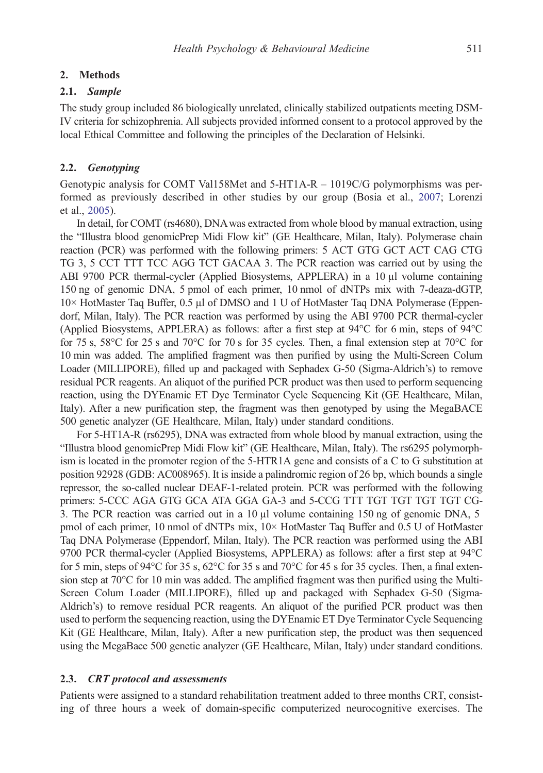# 2. Methods

#### 2.1. Sample

The study group included 86 biologically unrelated, clinically stabilized outpatients meeting DSM-IV criteria for schizophrenia. All subjects provided informed consent to a protocol approved by the local Ethical Committee and following the principles of the Declaration of Helsinki.

# 2.2. Genotyping

Genotypic analysis for COMT Val158Met and 5-HT1A-R – 1019C/G polymorphisms was performed as previously described in other studies by our group (Bosia et al., [2007](#page-6-0); Lorenzi et al., [2005\)](#page-7-0).

In detail, for COMT (rs4680), DNAwas extracted from whole blood by manual extraction, using the "Illustra blood genomicPrep Midi Flow kit" (GE Healthcare, Milan, Italy). Polymerase chain reaction (PCR) was performed with the following primers: 5 ACT GTG GCT ACT CAG CTG TG 3, 5 CCT TTT TCC AGG TCT GACAA 3. The PCR reaction was carried out by using the ABI 9700 PCR thermal-cycler (Applied Biosystems, APPLERA) in a 10 µl volume containing 150 ng of genomic DNA, 5 pmol of each primer, 10 nmol of dNTPs mix with 7-deaza-dGTP, 10× HotMaster Taq Buffer, 0.5 µl of DMSO and 1 U of HotMaster Taq DNA Polymerase (Eppendorf, Milan, Italy). The PCR reaction was performed by using the ABI 9700 PCR thermal-cycler (Applied Biosystems, APPLERA) as follows: after a first step at 94°C for 6 min, steps of 94°C for 75 s, 58°C for 25 s and 70°C for 70 s for 35 cycles. Then, a final extension step at 70°C for 10 min was added. The amplified fragment was then purified by using the Multi-Screen Colum Loader (MILLIPORE), filled up and packaged with Sephadex G-50 (Sigma-Aldrich's) to remove residual PCR reagents. An aliquot of the purified PCR product was then used to perform sequencing reaction, using the DYEnamic ET Dye Terminator Cycle Sequencing Kit (GE Healthcare, Milan, Italy). After a new purification step, the fragment was then genotyped by using the MegaBACE 500 genetic analyzer (GE Healthcare, Milan, Italy) under standard conditions.

For 5-HT1A-R (rs6295), DNA was extracted from whole blood by manual extraction, using the "Illustra blood genomicPrep Midi Flow kit" (GE Healthcare, Milan, Italy). The rs6295 polymorphism is located in the promoter region of the 5-HTR1A gene and consists of a C to G substitution at position 92928 (GDB: AC008965). It is inside a palindromic region of 26 bp, which bounds a single repressor, the so-called nuclear DEAF-1-related protein. PCR was performed with the following primers: 5-CCC AGA GTG GCA ATA GGA GA-3 and 5-CCG TTT TGT TGT TGT TGT CG-3. The PCR reaction was carried out in a 10 µl volume containing 150 ng of genomic DNA, 5 pmol of each primer, 10 nmol of dNTPs mix, 10× HotMaster Taq Buffer and 0.5 U of HotMaster Taq DNA Polymerase (Eppendorf, Milan, Italy). The PCR reaction was performed using the ABI 9700 PCR thermal-cycler (Applied Biosystems, APPLERA) as follows: after a first step at 94°C for 5 min, steps of 94°C for 35 s, 62°C for 35 s and 70°C for 45 s for 35 cycles. Then, a final extension step at 70°C for 10 min was added. The amplified fragment was then purified using the Multi-Screen Colum Loader (MILLIPORE), filled up and packaged with Sephadex G-50 (Sigma-Aldrich's) to remove residual PCR reagents. An aliquot of the purified PCR product was then used to perform the sequencing reaction, using the DYEnamic ET Dye Terminator Cycle Sequencing Kit (GE Healthcare, Milan, Italy). After a new purification step, the product was then sequenced using the MegaBace 500 genetic analyzer (GE Healthcare, Milan, Italy) under standard conditions.

# 2.3. CRT protocol and assessments

Patients were assigned to a standard rehabilitation treatment added to three months CRT, consisting of three hours a week of domain-specific computerized neurocognitive exercises. The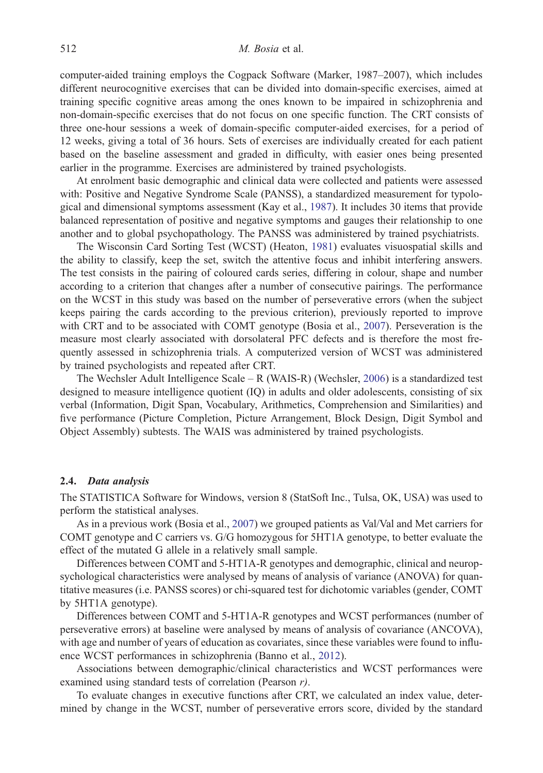computer-aided training employs the Cogpack Software (Marker, 1987–2007), which includes different neurocognitive exercises that can be divided into domain-specific exercises, aimed at training specific cognitive areas among the ones known to be impaired in schizophrenia and non-domain-specific exercises that do not focus on one specific function. The CRT consists of three one-hour sessions a week of domain-specific computer-aided exercises, for a period of 12 weeks, giving a total of 36 hours. Sets of exercises are individually created for each patient based on the baseline assessment and graded in difficulty, with easier ones being presented earlier in the programme. Exercises are administered by trained psychologists.

At enrolment basic demographic and clinical data were collected and patients were assessed with: Positive and Negative Syndrome Scale (PANSS), a standardized measurement for typological and dimensional symptoms assessment (Kay et al., [1987\)](#page-7-0). It includes 30 items that provide balanced representation of positive and negative symptoms and gauges their relationship to one another and to global psychopathology. The PANSS was administered by trained psychiatrists.

The Wisconsin Card Sorting Test (WCST) (Heaton, [1981\)](#page-7-0) evaluates visuospatial skills and the ability to classify, keep the set, switch the attentive focus and inhibit interfering answers. The test consists in the pairing of coloured cards series, differing in colour, shape and number according to a criterion that changes after a number of consecutive pairings. The performance on the WCST in this study was based on the number of perseverative errors (when the subject keeps pairing the cards according to the previous criterion), previously reported to improve with CRT and to be associated with COMT genotype (Bosia et al., [2007](#page-6-0)). Perseveration is the measure most clearly associated with dorsolateral PFC defects and is therefore the most frequently assessed in schizophrenia trials. A computerized version of WCST was administered by trained psychologists and repeated after CRT.

The Wechsler Adult Intelligence Scale – R (WAIS-R) (Wechsler, [2006](#page-7-0)) is a standardized test designed to measure intelligence quotient (IQ) in adults and older adolescents, consisting of six verbal (Information, Digit Span, Vocabulary, Arithmetics, Comprehension and Similarities) and five performance (Picture Completion, Picture Arrangement, Block Design, Digit Symbol and Object Assembly) subtests. The WAIS was administered by trained psychologists.

#### 2.4. Data analysis

The STATISTICA Software for Windows, version 8 (StatSoft Inc., Tulsa, OK, USA) was used to perform the statistical analyses.

As in a previous work (Bosia et al., [2007\)](#page-6-0) we grouped patients as Val/Val and Met carriers for COMT genotype and C carriers vs. G/G homozygous for 5HT1A genotype, to better evaluate the effect of the mutated G allele in a relatively small sample.

Differences between COMT and 5-HT1A-R genotypes and demographic, clinical and neuropsychological characteristics were analysed by means of analysis of variance (ANOVA) for quantitative measures (i.e. PANSS scores) or chi-squared test for dichotomic variables (gender, COMT by 5HT1A genotype).

Differences between COMT and 5-HT1A-R genotypes and WCST performances (number of perseverative errors) at baseline were analysed by means of analysis of covariance (ANCOVA), with age and number of years of education as covariates, since these variables were found to influence WCST performances in schizophrenia (Banno et al., [2012](#page-6-0)).

Associations between demographic/clinical characteristics and WCST performances were examined using standard tests of correlation (Pearson r).

To evaluate changes in executive functions after CRT, we calculated an index value, determined by change in the WCST, number of perseverative errors score, divided by the standard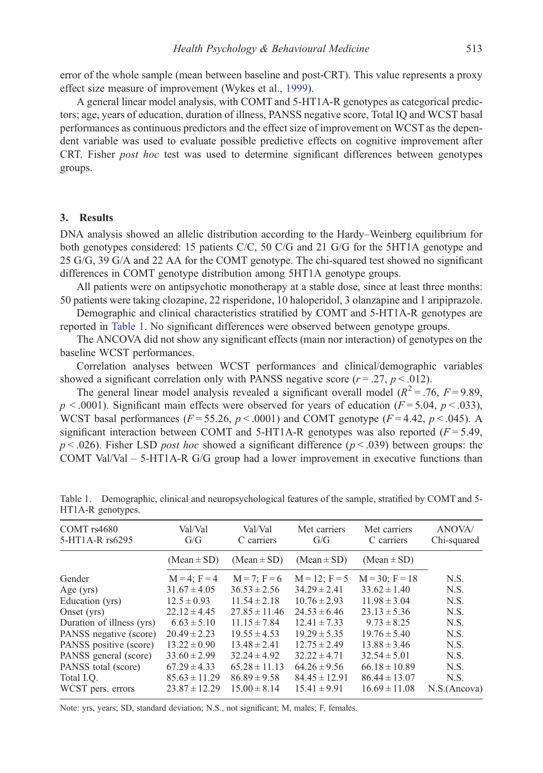error of the whole sample (mean between baseline and post-CRT). This value represents a proxy effect size measure of improvement (Wykes et al., [1999\)](#page-7-0).

A general linear model analysis, with COMT and 5-HT1A-R genotypes as categorical predictors; age, years of education, duration of illness, PANSS negative score, Total IQ and WCST basal performances as continuous predictors and the effect size of improvement on WCST as the dependent variable was used to evaluate possible predictive effects on cognitive improvement after CRT. Fisher post hoc test was used to determine significant differences between genotypes groups.

# 3. Results

DNA analysis showed an allelic distribution according to the Hardy–Weinberg equilibrium for both genotypes considered: 15 patients C/C, 50 C/G and 21 G/G for the 5HT1A genotype and 25 G/G, 39 G/A and 22 AA for the COMT genotype. The chi-squared test showed no significant differences in COMT genotype distribution among 5HT1A genotype groups.

All patients were on antipsychotic monotherapy at a stable dose, since at least three months: 50 patients were taking clozapine, 22 risperidone, 10 haloperidol, 3 olanzapine and 1 aripiprazole.

Demographic and clinical characteristics stratified by COMT and 5-HT1A-R genotypes are reported in Table 1. No significant differences were observed between genotype groups.

The ANCOVA did not show any significant effects (main nor interaction) of genotypes on the baseline WCST performances.

Correlation analyses between WCST performances and clinical/demographic variables showed a significant correlation only with PANSS negative score  $(r = .27, p < .012)$ .

The general linear model analysis revealed a significant overall model ( $R^2 = .76$ ,  $F = 9.89$ ,  $p < .0001$ ). Significant main effects were observed for years of education ( $F = 5.04$ ,  $p < .033$ ), WCST basal performances ( $F = 55.26$ ,  $p < .0001$ ) and COMT genotype ( $F = 4.42$ ,  $p < .045$ ). A significant interaction between COMT and 5-HT1A-R genotypes was also reported  $(F = 5.49)$ ,  $p < .026$ ). Fisher LSD *post hoc* showed a significant difference ( $p < .039$ ) between groups: the COMT Val/Val – 5-HT1A-R G/G group had a lower improvement in executive functions than

| COMT rs4680<br>5-HT1A-R rs6295 | Val/Val<br>G/G    | Val/Val<br>C carriers | Met carriers<br>G/G | Met carriers<br>C carriers | <b>ANOVA</b><br>Chi-squared |
|--------------------------------|-------------------|-----------------------|---------------------|----------------------------|-----------------------------|
|                                | $(Mean \pm SD)$   | $(Mean \pm SD)$       | $(Mean \pm SD)$     | $(Mean \pm SD)$            |                             |
| Gender                         | $M = 4$ ; $F = 4$ | $M = 7: F = 6$        | $M = 12$ ; $F = 5$  | $M = 30$ ; $F = 18$        | N.S.                        |
| Age $(yrs)$                    | $31.67 \pm 4.05$  | $36.53 \pm 2.56$      | $34.29 \pm 2.41$    | $33.62 \pm 1.40$           | N.S.                        |
| Education (yrs)                | $12.5 \pm 0.93$   | $11.54 \pm 2.18$      | $10.76 \pm 2.93$    | $11.98 \pm 3.04$           | N.S.                        |
| Onset (yrs)                    | $22.12 \pm 4.45$  | $27.85 \pm 11.46$     | $24.53 \pm 6.46$    | $23.13 \pm 5.36$           | N.S.                        |
| Duration of illness (yrs)      | $6.63 \pm 5.10$   | $11.15 \pm 7.84$      | $12.41 \pm 7.33$    | $9.73 \pm 8.25$            | N.S.                        |
| PANSS negative (score)         | $20.49 \pm 2.23$  | $19.55 \pm 4.53$      | $19.29 \pm 5.35$    | $19.76 \pm 5.40$           | N.S.                        |
| PANSS positive (score)         | $13.22 \pm 0.90$  | $13.48 \pm 2.41$      | $12.75 \pm 2.49$    | $13.88 \pm 3.46$           | N.S.                        |
| PANSS general (score)          | $33.60 \pm 2.99$  | $32.24 \pm 4.92$      | $32.22 \pm 4.71$    | $32.54 \pm 5.01$           | N.S.                        |
| PANSS total (score)            | $67.29 \pm 4.33$  | $65.28 \pm 11.13$     | $64.26 \pm 9.56$    | $66.18 \pm 10.89$          | N.S.                        |
| Total I.O.                     | $85.63 \pm 11.29$ | $86.89 \pm 9.58$      | $84.45 \pm 12.91$   | $86.44 \pm 13.07$          | N.S.                        |
| WCST pers. errors              | $23.87 \pm 12.29$ | $15.00 \pm 8.14$      | $15.41 \pm 9.91$    | $16.69 \pm 11.08$          | $N.S.$ (Ancova)             |

Table 1. Demographic, clinical and neuropsychological features of the sample, stratified by COMT and 5- HT1A-R genotypes.

Note: yrs, years; SD, standard deviation; N.S., not significant; M, males; F, females.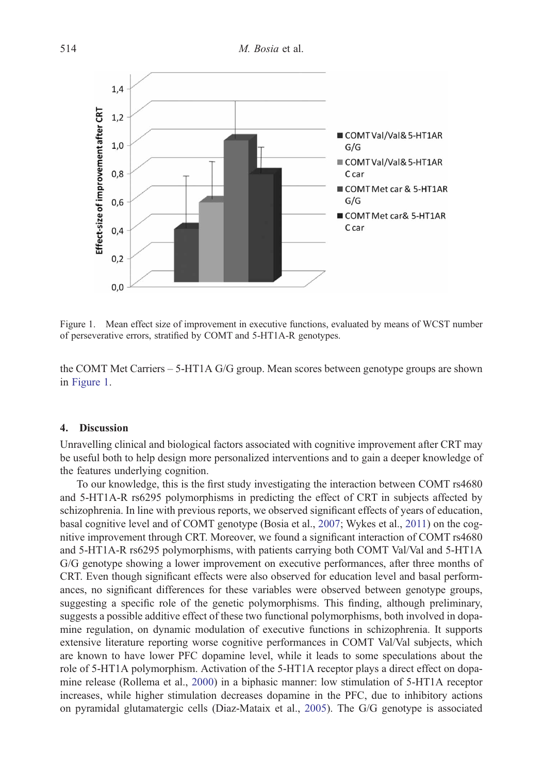

Figure 1. Mean effect size of improvement in executive functions, evaluated by means of WCST number of perseverative errors, stratified by COMT and 5-HT1A-R genotypes.

the COMT Met Carriers – 5-HT1A G/G group. Mean scores between genotype groups are shown in Figure 1.

#### 4. Discussion

Unravelling clinical and biological factors associated with cognitive improvement after CRT may be useful both to help design more personalized interventions and to gain a deeper knowledge of the features underlying cognition.

To our knowledge, this is the first study investigating the interaction between COMT rs4680 and 5-HT1A-R rs6295 polymorphisms in predicting the effect of CRT in subjects affected by schizophrenia. In line with previous reports, we observed significant effects of years of education, basal cognitive level and of COMT genotype (Bosia et al., [2007](#page-6-0); Wykes et al., [2011](#page-7-0)) on the cognitive improvement through CRT. Moreover, we found a significant interaction of COMT rs4680 and 5-HT1A-R rs6295 polymorphisms, with patients carrying both COMT Val/Val and 5-HT1A G/G genotype showing a lower improvement on executive performances, after three months of CRT. Even though significant effects were also observed for education level and basal performances, no significant differences for these variables were observed between genotype groups, suggesting a specific role of the genetic polymorphisms. This finding, although preliminary, suggests a possible additive effect of these two functional polymorphisms, both involved in dopamine regulation, on dynamic modulation of executive functions in schizophrenia. It supports extensive literature reporting worse cognitive performances in COMT Val/Val subjects, which are known to have lower PFC dopamine level, while it leads to some speculations about the role of 5-HT1A polymorphism. Activation of the 5-HT1A receptor plays a direct effect on dopamine release (Rollema et al., [2000](#page-7-0)) in a biphasic manner: low stimulation of 5-HT1A receptor increases, while higher stimulation decreases dopamine in the PFC, due to inhibitory actions on pyramidal glutamatergic cells (Diaz-Mataix et al., [2005\)](#page-7-0). The G/G genotype is associated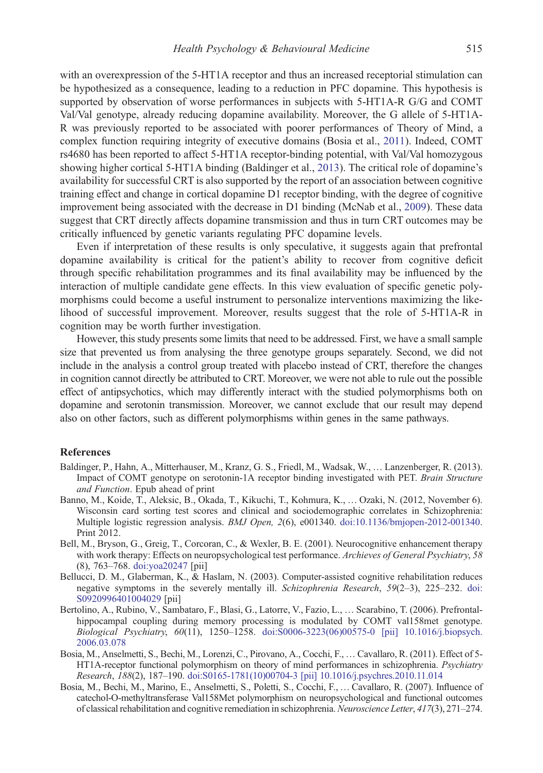<span id="page-6-0"></span>with an overexpression of the 5-HT1A receptor and thus an increased receptorial stimulation can be hypothesized as a consequence, leading to a reduction in PFC dopamine. This hypothesis is supported by observation of worse performances in subjects with 5-HT1A-R G/G and COMT Val/Val genotype, already reducing dopamine availability. Moreover, the G allele of 5-HT1A-R was previously reported to be associated with poorer performances of Theory of Mind, a complex function requiring integrity of executive domains (Bosia et al., 2011). Indeed, COMT rs4680 has been reported to affect 5-HT1A receptor-binding potential, with Val/Val homozygous showing higher cortical 5-HT1A binding (Baldinger et al., 2013). The critical role of dopamine's availability for successful CRT is also supported by the report of an association between cognitive training effect and change in cortical dopamine D1 receptor binding, with the degree of cognitive improvement being associated with the decrease in D1 binding (McNab et al., [2009\)](#page-7-0). These data suggest that CRT directly affects dopamine transmission and thus in turn CRT outcomes may be critically influenced by genetic variants regulating PFC dopamine levels.

Even if interpretation of these results is only speculative, it suggests again that prefrontal dopamine availability is critical for the patient's ability to recover from cognitive deficit through specific rehabilitation programmes and its final availability may be influenced by the interaction of multiple candidate gene effects. In this view evaluation of specific genetic polymorphisms could become a useful instrument to personalize interventions maximizing the likelihood of successful improvement. Moreover, results suggest that the role of 5-HT1A-R in cognition may be worth further investigation.

However, this study presents some limits that need to be addressed. First, we have a small sample size that prevented us from analysing the three genotype groups separately. Second, we did not include in the analysis a control group treated with placebo instead of CRT, therefore the changes in cognition cannot directly be attributed to CRT. Moreover, we were not able to rule out the possible effect of antipsychotics, which may differently interact with the studied polymorphisms both on dopamine and serotonin transmission. Moreover, we cannot exclude that our result may depend also on other factors, such as different polymorphisms within genes in the same pathways.

#### References

- Baldinger, P., Hahn, A., Mitterhauser, M., Kranz, G. S., Friedl, M., Wadsak, W., … Lanzenberger, R. (2013). Impact of COMT genotype on serotonin-1A receptor binding investigated with PET. Brain Structure and Function. Epub ahead of print
- Banno, M., Koide, T., Aleksic, B., Okada, T., Kikuchi, T., Kohmura, K., … Ozaki, N. (2012, November 6). Wisconsin card sorting test scores and clinical and sociodemographic correlates in Schizophrenia: Multiple logistic regression analysis. BMJ Open, 2(6), e001340. [doi:10.1136/bmjopen-2012-001340](http://dx.doi.org/10.1136/bmjopen-2012-001340). Print 2012.
- Bell, M., Bryson, G., Greig, T., Corcoran, C., & Wexler, B. E. (2001). Neurocognitive enhancement therapy with work therapy: Effects on neuropsychological test performance. Archieves of General Psychiatry, 58 (8), 763–768. [doi:yoa20247](http://dx.doi.org/yoa20247) [pii]
- Bellucci, D. M., Glaberman, K., & Haslam, N. (2003). Computer-assisted cognitive rehabilitation reduces negative symptoms in the severely mentally ill. Schizophrenia Research, 59(2–3), 225–232. [doi:](http://dx.doi.org/S0920996401004029) [S0920996401004029](http://dx.doi.org/S0920996401004029) [pii]
- Bertolino, A., Rubino, V., Sambataro, F., Blasi, G., Latorre, V., Fazio, L., … Scarabino, T. (2006). Prefrontalhippocampal coupling during memory processing is modulated by COMT val158met genotype. Biological Psychiatry, 60(11), 1250–1258. [doi:S0006-3223\(06\)00575-0 \[pii\] 10.1016/j.biopsych.](http://dx.doi.org/S0006-3223(06)00575-0%20[pii]%2010.1016/j.biopsych.2006.03.078) [2006.03.078](http://dx.doi.org/S0006-3223(06)00575-0%20[pii]%2010.1016/j.biopsych.2006.03.078)
- Bosia, M., Anselmetti, S., Bechi, M., Lorenzi, C., Pirovano, A., Cocchi, F., … Cavallaro, R. (2011). Effect of 5- HT1A-receptor functional polymorphism on theory of mind performances in schizophrenia. Psychiatry Research, 188(2), 187–190. [doi:S0165-1781\(10\)00704-3 \[pii\] 10.1016/j.psychres.2010.11.014](http://dx.doi.org/S0165-1781(10)00704-3%20[pii]%2010.1016/j.psychres.2010.11.014)
- Bosia, M., Bechi, M., Marino, E., Anselmetti, S., Poletti, S., Cocchi, F., … Cavallaro, R. (2007). Influence of catechol-O-methyltransferase Val158Met polymorphism on neuropsychological and functional outcomes of classical rehabilitation and cognitive remediation in schizophrenia. Neuroscience Letter, 417(3), 271–274.